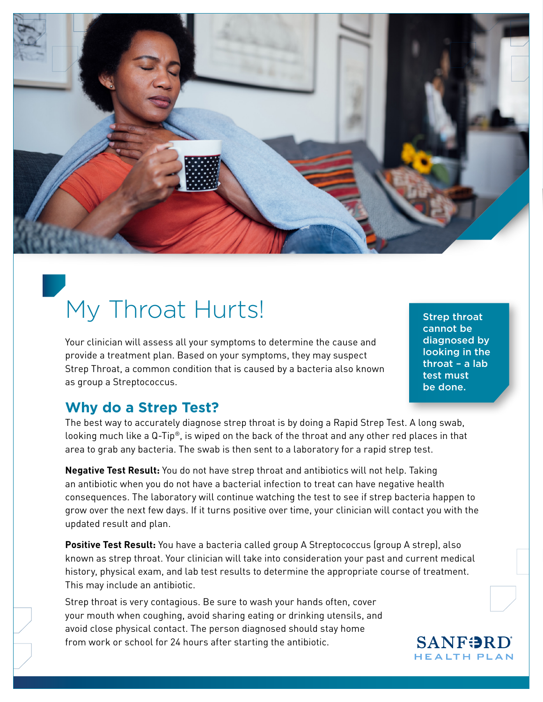

# My Throat Hurts!

Your clinician will assess all your symptoms to determine the cause and provide a treatment plan. Based on your symptoms, they may suspect Strep Throat, a common condition that is caused by a bacteria also known as group a Streptococcus.

Strep throat cannot be diagnosed by looking in the throat – a lab test must be done.

### **Why do a Strep Test?**

The best way to accurately diagnose strep throat is by doing a Rapid Strep Test. A long swab, looking much like a Q-Tip®, is wiped on the back of the throat and any other red places in that area to grab any bacteria. The swab is then sent to a laboratory for a rapid strep test.

**Negative Test Result:** You do not have strep throat and antibiotics will not help. Taking an antibiotic when you do not have a bacterial infection to treat can have negative health consequences. The laboratory will continue watching the test to see if strep bacteria happen to grow over the next few days. If it turns positive over time, your clinician will contact you with the updated result and plan.

**Positive Test Result:** You have a bacteria called group A Streptococcus (group A strep), also known as strep throat. Your clinician will take into consideration your past and current medical history, physical exam, and lab test results to determine the appropriate course of treatment. This may include an antibiotic.

Strep throat is very contagious. Be sure to wash your hands often, cover your mouth when coughing, avoid sharing eating or drinking utensils, and avoid close physical contact. The person diagnosed should stay home from work or school for 24 hours after starting the antibiotic.